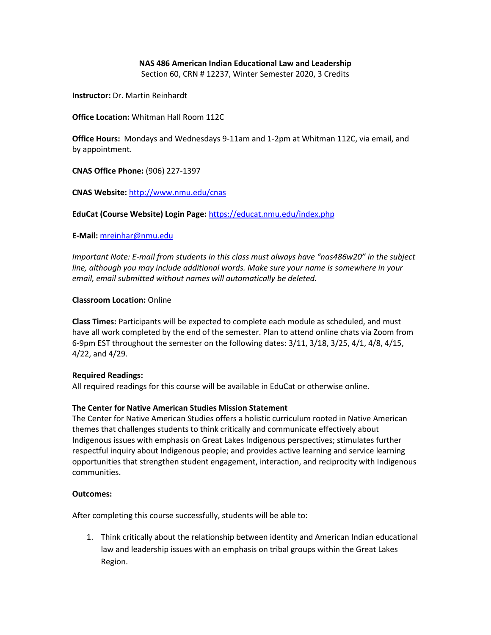# **NAS 486 American Indian Educational Law and Leadership**

Section 60, CRN # 12237, Winter Semester 2020, 3 Credits

**Instructor:** Dr. Martin Reinhardt

**Office Location:** Whitman Hall Room 112C

**Office Hours:** Mondays and Wednesdays 9-11am and 1-2pm at Whitman 112C, via email, and by appointment.

**CNAS Office Phone:** (906) 227-1397

**CNAS Website:** <http://www.nmu.edu/cnas>

**EduCat (Course Website) Login Page:** <https://educat.nmu.edu/index.php>

**E-Mail:** [mreinhar@nmu.edu](mailto:mreinhar@nmu.edu)

*Important Note: E-mail from students in this class must always have "nas486w20" in the subject line, although you may include additional words. Make sure your name is somewhere in your email, email submitted without names will automatically be deleted.*

#### **Classroom Location:** Online

**Class Times:** Participants will be expected to complete each module as scheduled, and must have all work completed by the end of the semester. Plan to attend online chats via Zoom from 6-9pm EST throughout the semester on the following dates: 3/11, 3/18, 3/25, 4/1, 4/8, 4/15, 4/22, and 4/29.

# **Required Readings:**

All required readings for this course will be available in EduCat or otherwise online.

# **The Center for Native American Studies Mission Statement**

The Center for Native American Studies offers a holistic curriculum rooted in Native American themes that challenges students to think critically and communicate effectively about Indigenous issues with emphasis on Great Lakes Indigenous perspectives; stimulates further respectful inquiry about Indigenous people; and provides active learning and service learning opportunities that strengthen student engagement, interaction, and reciprocity with Indigenous communities.

#### **Outcomes:**

After completing this course successfully, students will be able to:

1. Think critically about the relationship between identity and American Indian educational law and leadership issues with an emphasis on tribal groups within the Great Lakes Region.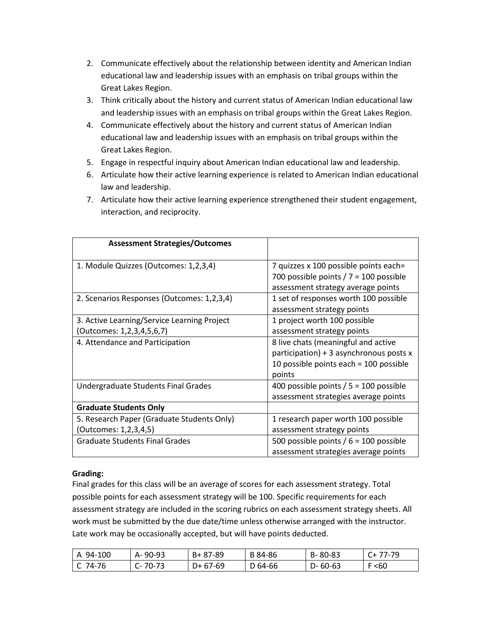- 2. Communicate effectively about the relationship between identity and American Indian educational law and leadership issues with an emphasis on tribal groups within the Great Lakes Region.
- 3. Think critically about the history and current status of American Indian educational law and leadership issues with an emphasis on tribal groups within the Great Lakes Region.
- 4. Communicate effectively about the history and current status of American Indian educational law and leadership issues with an emphasis on tribal groups within the Great Lakes Region.
- 5. Engage in respectful inquiry about American Indian educational law and leadership.
- 6. Articulate how their active learning experience is related to American Indian educational law and leadership.
- 7. Articulate how their active learning experience strengthened their student engagement, interaction, and reciprocity.

| <b>Assessment Strategies/Outcomes</b>       |                                           |  |
|---------------------------------------------|-------------------------------------------|--|
| 1. Module Quizzes (Outcomes: 1,2,3,4)       | 7 quizzes x 100 possible points each=     |  |
|                                             | 700 possible points $/ 7 = 100$ possible  |  |
|                                             | assessment strategy average points        |  |
| 2. Scenarios Responses (Outcomes: 1,2,3,4)  | 1 set of responses worth 100 possible     |  |
|                                             | assessment strategy points                |  |
| 3. Active Learning/Service Learning Project | 1 project worth 100 possible              |  |
| Outcomes: 1,2,3,4,5,6,7)                    | assessment strategy points                |  |
| 4. Attendance and Participation             | 8 live chats (meaningful and active       |  |
|                                             | participation) + 3 asynchronous posts $x$ |  |
|                                             | 10 possible points each $=$ 100 possible  |  |
|                                             | points                                    |  |
| Undergraduate Students Final Grades         | 400 possible points $/ 5 = 100$ possible  |  |
|                                             | assessment strategies average points      |  |
| <b>Graduate Students Only</b>               |                                           |  |
| 5. Research Paper (Graduate Students Only)  | 1 research paper worth 100 possible       |  |
| (Outcomes: 1,2,3,4,5)                       | assessment strategy points                |  |
| <b>Graduate Students Final Grades</b>       | 500 possible points $/ 6 = 100$ possible  |  |
|                                             | assessment strategies average points      |  |

# **Grading:**

Final grades for this class will be an average of scores for each assessment strategy. Total possible points for each assessment strategy will be 100. Specific requirements for each assessment strategy are included in the scoring rubrics on each assessment strategy sheets. All work must be submitted by the due date/time unless otherwise arranged with the instructor. Late work may be occasionally accepted, but will have points deducted.

| A 94-100  | A-90-93       | B+ 87-89  | B 84-86 | B-80-83       | $C+77-79$ |
|-----------|---------------|-----------|---------|---------------|-----------|
| $C$ 74-76 | $C - 70 - 73$ | $D+67-69$ | D 64-66 | $D - 60 - 63$ | F < 60    |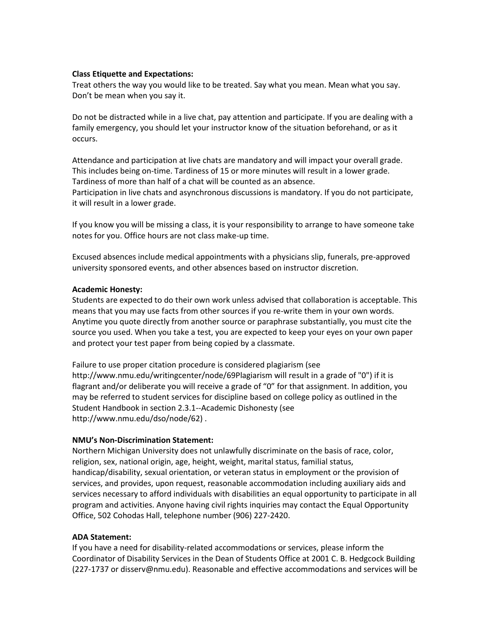#### **Class Etiquette and Expectations:**

Treat others the way you would like to be treated. Say what you mean. Mean what you say. Don't be mean when you say it.

Do not be distracted while in a live chat, pay attention and participate. If you are dealing with a family emergency, you should let your instructor know of the situation beforehand, or as it occurs.

Attendance and participation at live chats are mandatory and will impact your overall grade. This includes being on-time. Tardiness of 15 or more minutes will result in a lower grade. Tardiness of more than half of a chat will be counted as an absence. Participation in live chats and asynchronous discussions is mandatory. If you do not participate, it will result in a lower grade.

If you know you will be missing a class, it is your responsibility to arrange to have someone take notes for you. Office hours are not class make-up time.

Excused absences include medical appointments with a physicians slip, funerals, pre-approved university sponsored events, and other absences based on instructor discretion.

#### **Academic Honesty:**

Students are expected to do their own work unless advised that collaboration is acceptable. This means that you may use facts from other sources if you re-write them in your own words. Anytime you quote directly from another source or paraphrase substantially, you must cite the source you used. When you take a test, you are expected to keep your eyes on your own paper and protect your test paper from being copied by a classmate.

Failure to use proper citation procedure is considered plagiarism (see http://www.nmu.edu/writingcenter/node/69Plagiarism will result in a grade of "0") if it is flagrant and/or deliberate you will receive a grade of "0" for that assignment. In addition, you may be referred to student services for discipline based on college policy as outlined in the Student Handbook in section 2.3.1--Academic Dishonesty (see http://www.nmu.edu/dso/node/62) .

# **NMU's Non-Discrimination Statement:**

Northern Michigan University does not unlawfully discriminate on the basis of race, color, religion, sex, national origin, age, height, weight, marital status, familial status, handicap/disability, sexual orientation, or veteran status in employment or the provision of services, and provides, upon request, reasonable accommodation including auxiliary aids and services necessary to afford individuals with disabilities an equal opportunity to participate in all program and activities. Anyone having civil rights inquiries may contact the Equal Opportunity Office, 502 Cohodas Hall, telephone number (906) 227-2420.

#### **ADA Statement:**

If you have a need for disability-related accommodations or services, please inform the Coordinator of Disability Services in the Dean of Students Office at 2001 C. B. Hedgcock Building (227-1737 or disserv@nmu.edu). Reasonable and effective accommodations and services will be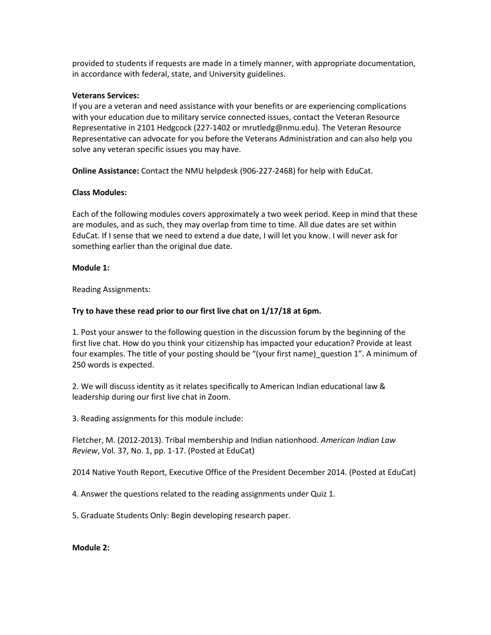provided to students if requests are made in a timely manner, with appropriate documentation, in accordance with federal, state, and University guidelines.

#### **Veterans Services:**

If you are a veteran and need assistance with your benefits or are experiencing complications with your education due to military service connected issues, contact the Veteran Resource Representative in 2101 Hedgcock (227-1402 or mrutledg@nmu.edu). The Veteran Resource Representative can advocate for you before the Veterans Administration and can also help you solve any veteran specific issues you may have.

**Online Assistance:** Contact the NMU helpdesk (906-227-2468) for help with EduCat.

# **Class Modules:**

Each of the following modules covers approximately a two week period. Keep in mind that these are modules, and as such, they may overlap from time to time. All due dates are set within EduCat. If I sense that we need to extend a due date, I will let you know. I will never ask for something earlier than the original due date.

# **Module 1:**

Reading Assignments:

# **Try to have these read prior to our first live chat on 1/17/18 at 6pm.**

1. Post your answer to the following question in the discussion forum by the beginning of the first live chat. How do you think your citizenship has impacted your education? Provide at least four examples. The title of your posting should be "(your first name) question 1". A minimum of 250 words is expected.

2. We will discuss identity as it relates specifically to American Indian educational law & leadership during our first live chat in Zoom.

3. Reading assignments for this module include:

Fletcher, M. (2012-2013). Tribal membership and Indian nationhood. *American Indian Law Review*, Vol. 37, No. 1, pp. 1-17. (Posted at EduCat)

2014 Native Youth Report, Executive Office of the President December 2014. (Posted at EduCat)

4. Answer the questions related to the reading assignments under Quiz 1.

5. Graduate Students Only: Begin developing research paper.

# **Module 2:**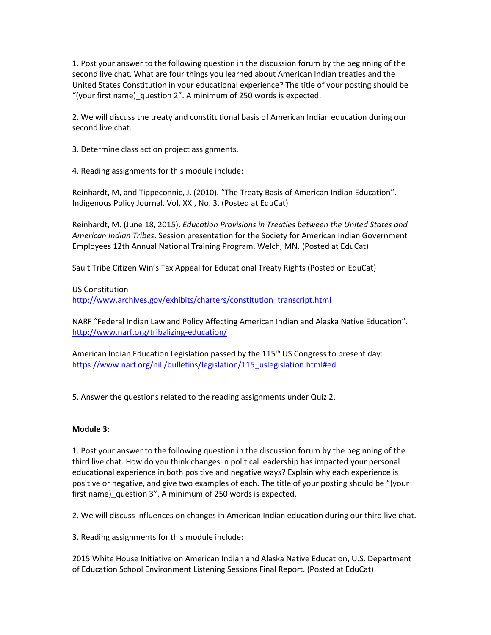1. Post your answer to the following question in the discussion forum by the beginning of the second live chat. What are four things you learned about American Indian treaties and the United States Constitution in your educational experience? The title of your posting should be "(your first name)\_question 2". A minimum of 250 words is expected.

2. We will discuss the treaty and constitutional basis of American Indian education during our second live chat.

3. Determine class action project assignments.

4. Reading assignments for this module include:

Reinhardt, M, and Tippeconnic, J. (2010). "The Treaty Basis of American Indian Education". Indigenous Policy Journal. Vol. XXI, No. 3. (Posted at EduCat)

Reinhardt, M. (June 18, 2015). *Education Provisions in Treaties between the United States and American Indian Tribes*. Session presentation for the Society for American Indian Government Employees 12th Annual National Training Program. Welch, MN. (Posted at EduCat)

Sault Tribe Citizen Win's Tax Appeal for Educational Treaty Rights (Posted on EduCat)

# US Constitution

[http://www.archives.gov/exhibits/charters/constitution\\_transcript.html](http://www.archives.gov/exhibits/charters/constitution_transcript.html)

NARF "Federal Indian Law and Policy Affecting American Indian and Alaska Native Education". <http://www.narf.org/tribalizing-education/>

American Indian Education Legislation passed by the  $115<sup>th</sup> US Congress$  to present day: [https://www.narf.org/nill/bulletins/legislation/115\\_uslegislation.html#ed](https://www.narf.org/nill/bulletins/legislation/115_uslegislation.html#ed)

5. Answer the questions related to the reading assignments under Quiz 2.

# **Module 3:**

1. Post your answer to the following question in the discussion forum by the beginning of the third live chat. How do you think changes in political leadership has impacted your personal educational experience in both positive and negative ways? Explain why each experience is positive or negative, and give two examples of each. The title of your posting should be "(your first name)\_question 3". A minimum of 250 words is expected.

2. We will discuss influences on changes in American Indian education during our third live chat.

3. Reading assignments for this module include:

2015 White House Initiative on American Indian and Alaska Native Education, U.S. Department of Education School Environment Listening Sessions Final Report. (Posted at EduCat)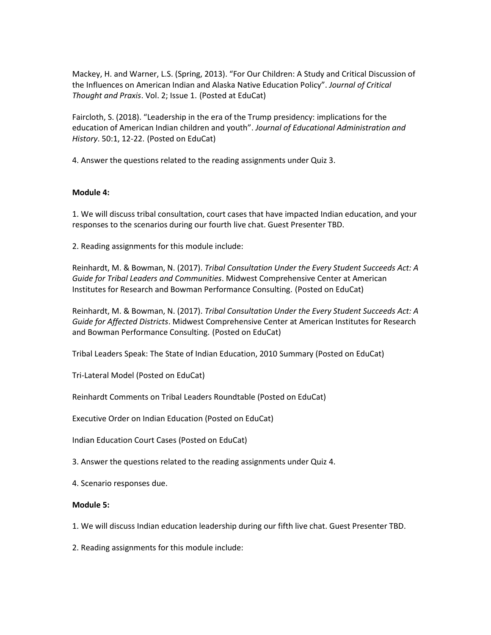Mackey, H. and Warner, L.S. (Spring, 2013). "For Our Children: A Study and Critical Discussion of the Influences on American Indian and Alaska Native Education Policy". *Journal of Critical Thought and Praxis*. Vol. 2; Issue 1. (Posted at EduCat)

Faircloth, S. (2018). "Leadership in the era of the Trump presidency: implications for the education of American Indian children and youth". *Journal of Educational Administration and History*. 50:1, 12-22. (Posted on EduCat)

4. Answer the questions related to the reading assignments under Quiz 3.

#### **Module 4:**

1. We will discuss tribal consultation, court cases that have impacted Indian education, and your responses to the scenarios during our fourth live chat. Guest Presenter TBD.

2. Reading assignments for this module include:

Reinhardt, M. & Bowman, N. (2017). *Tribal Consultation Under the Every Student Succeeds Act: A Guide for Tribal Leaders and Communities*. Midwest Comprehensive Center at American Institutes for Research and Bowman Performance Consulting. (Posted on EduCat)

Reinhardt, M. & Bowman, N. (2017). *Tribal Consultation Under the Every Student Succeeds Act: A Guide for Affected Districts*. Midwest Comprehensive Center at American Institutes for Research and Bowman Performance Consulting. (Posted on EduCat)

Tribal Leaders Speak: The State of Indian Education, 2010 Summary (Posted on EduCat)

Tri-Lateral Model (Posted on EduCat)

Reinhardt Comments on Tribal Leaders Roundtable (Posted on EduCat)

Executive Order on Indian Education (Posted on EduCat)

Indian Education Court Cases (Posted on EduCat)

3. Answer the questions related to the reading assignments under Quiz 4.

4. Scenario responses due.

#### **Module 5:**

1. We will discuss Indian education leadership during our fifth live chat. Guest Presenter TBD.

2. Reading assignments for this module include: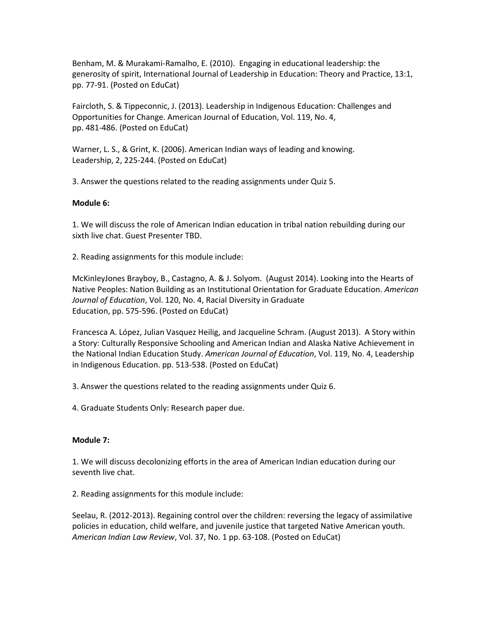Benham, M. & Murakami-Ramalho, E. (2010). Engaging in educational leadership: the generosity of spirit, International Journal of Leadership in Education: Theory and Practice, 13:1, pp. 77-91. (Posted on EduCat)

Faircloth, S. & Tippeconnic, J. (2013). Leadership in Indigenous Education: Challenges and Opportunities for Change. American Journal of Education, Vol. 119, No. 4, pp. 481-486. (Posted on EduCat)

Warner, L. S., & Grint, K. (2006). American Indian ways of leading and knowing. Leadership, 2, 225-244. (Posted on EduCat)

3. Answer the questions related to the reading assignments under Quiz 5.

# **Module 6:**

1. We will discuss the role of American Indian education in tribal nation rebuilding during our sixth live chat. Guest Presenter TBD.

2. Reading assignments for this module include:

McKinleyJones Brayboy, B., Castagno, A. & J. Solyom. (August 2014). Looking into the Hearts of Native Peoples: Nation Building as an Institutional Orientation for Graduate Education. *American Journal of Education*, Vol. 120, No. 4, Racial Diversity in Graduate Education, pp. 575-596. (Posted on EduCat)

Francesca A. López, Julian Vasquez Heilig, and Jacqueline Schram. (August 2013). A Story within a Story: Culturally Responsive Schooling and American Indian and Alaska Native Achievement in the National Indian Education Study. *American Journal of Education*, Vol. 119, No. 4, Leadership in Indigenous Education. pp. 513-538. (Posted on EduCat)

3. Answer the questions related to the reading assignments under Quiz 6.

4. Graduate Students Only: Research paper due.

# **Module 7:**

1. We will discuss decolonizing efforts in the area of American Indian education during our seventh live chat.

2. Reading assignments for this module include:

Seelau, R. (2012-2013). Regaining control over the children: reversing the legacy of assimilative policies in education, child welfare, and juvenile justice that targeted Native American youth. *American Indian Law Review*, Vol. 37, No. 1 pp. 63-108. (Posted on EduCat)